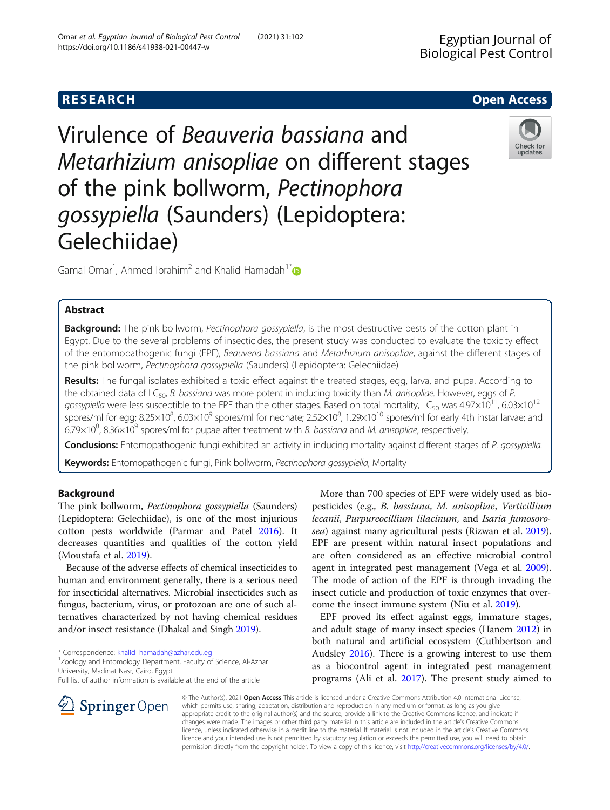Virulence of Beauveria bassiana and Metarhizium anisopliae on different stages of the pink bollworm, Pectinophora gossypiella (Saunders) (Lepidoptera: Gelechiidae)

Gamal Omar<sup>1</sup>, Ahmed Ibrahim<sup>2</sup> and Khalid Hamadah<sup>1[\\*](http://orcid.org/0000-0002-5637-5050)</sup>

# Abstract

Background: The pink bollworm, Pectinophora gossypiella, is the most destructive pests of the cotton plant in Egypt. Due to the several problems of insecticides, the present study was conducted to evaluate the toxicity effect of the entomopathogenic fungi (EPF), Beauveria bassiana and Metarhizium anisopliae, against the different stages of the pink bollworm, Pectinophora gossypiella (Saunders) (Lepidoptera: Gelechiidae)

Results: The fungal isolates exhibited a toxic effect against the treated stages, egg, larva, and pupa. According to the obtained data of LC<sub>50</sub>, B. bassiana was more potent in inducing toxicity than M. anisopliae. However, eggs of P. gossypiella were less susceptible to the EPF than the other stages. Based on total mortality, LC<sub>50</sub> was  $4.97\times10^{11}$ , 6.03 $\times10^{12}$ spores/ml for egg; 8.25×10<sup>8</sup>, 6.03×10<sup>9</sup> spores/ml for neonate; 2.52×10<sup>8</sup>, 1.29×10<sup>10</sup> spores/ml for early 4th instar larvae; and 6.79 $\times$ 10<sup>8</sup>, 8.36 $\times$ 10<sup>9</sup> spores/ml for pupae after treatment with *B. bassiana* and *M. anisopliae*, respectively.

Conclusions: Entomopathogenic fungi exhibited an activity in inducing mortality against different stages of P. gossypiella.

Keywords: Entomopathogenic fungi, Pink bollworm, Pectinophora gossypiella, Mortality

# Background

The pink bollworm, Pectinophora gossypiella (Saunders) (Lepidoptera: Gelechiidae), is one of the most injurious cotton pests worldwide (Parmar and Patel [2016](#page-6-0)). It decreases quantities and qualities of the cotton yield (Moustafa et al. [2019](#page-6-0)).

Because of the adverse effects of chemical insecticides to human and environment generally, there is a serious need for insecticidal alternatives. Microbial insecticides such as fungus, bacterium, virus, or protozoan are one of such alternatives characterized by not having chemical residues and/or insect resistance (Dhakal and Singh [2019\)](#page-6-0).

\* Correspondence: [khalid\\_hamadah@azhar.edu.eg](mailto:khalid_hamadah@azhar.edu.eg) <sup>1</sup>

SpringerOpen

Zoology and Entomology Department, Faculty of Science, Al-Azhar University, Madinat Nasr, Cairo, Egypt

Full list of author information is available at the end of the article

More than 700 species of EPF were widely used as biopesticides (e.g., B. bassiana, M. anisopliae, Verticillium lecanii, Purpureocillium lilacinum, and Isaria fumosorosea) against many agricultural pests (Rizwan et al. [2019](#page-6-0)). EPF are present within natural insect populations and are often considered as an effective microbial control agent in integrated pest management (Vega et al. [2009](#page-6-0)). The mode of action of the EPF is through invading the insect cuticle and production of toxic enzymes that overcome the insect immune system (Niu et al. [2019](#page-6-0)).

EPF proved its effect against eggs, immature stages, and adult stage of many insect species (Hanem [2012\)](#page-6-0) in both natural and artificial ecosystem (Cuthbertson and Audsley [2016\)](#page-6-0). There is a growing interest to use them as a biocontrol agent in integrated pest management programs (Ali et al. [2017](#page-6-0)). The present study aimed to

© The Author(s). 2021 Open Access This article is licensed under a Creative Commons Attribution 4.0 International License, which permits use, sharing, adaptation, distribution and reproduction in any medium or format, as long as you give appropriate credit to the original author(s) and the source, provide a link to the Creative Commons licence, and indicate if changes were made. The images or other third party material in this article are included in the article's Creative Commons licence, unless indicated otherwise in a credit line to the material. If material is not included in the article's Creative Commons licence and your intended use is not permitted by statutory regulation or exceeds the permitted use, you will need to obtain permission directly from the copyright holder. To view a copy of this licence, visit <http://creativecommons.org/licenses/by/4.0/>.





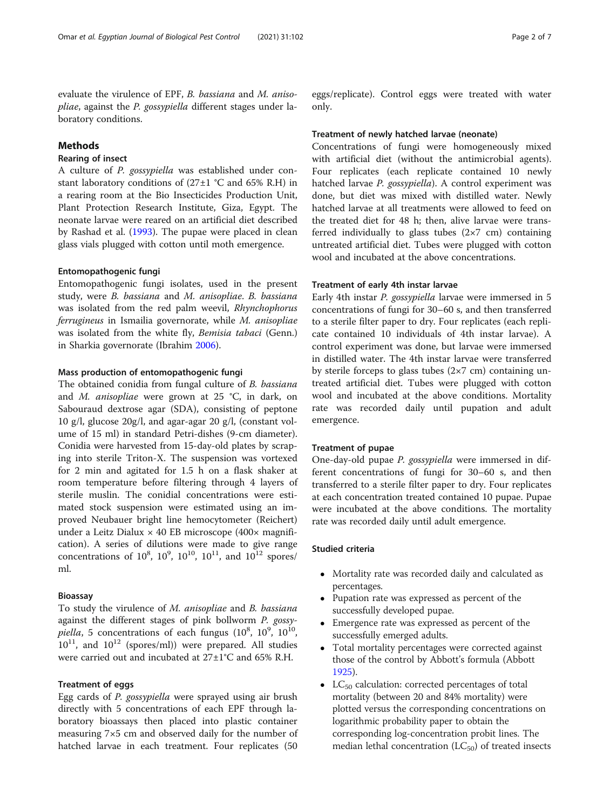evaluate the virulence of EPF, B. bassiana and M. anisopliae, against the P. gossypiella different stages under laboratory conditions.

# Methods

# Rearing of insect

A culture of P. gossypiella was established under constant laboratory conditions of  $(27\pm1$  °C and 65% R.H) in a rearing room at the Bio Insecticides Production Unit, Plant Protection Research Institute, Giza, Egypt. The neonate larvae were reared on an artificial diet described by Rashad et al. [\(1993\)](#page-6-0). The pupae were placed in clean glass vials plugged with cotton until moth emergence.

# Entomopathogenic fungi

Entomopathogenic fungi isolates, used in the present study, were B. bassiana and M. anisopliae. B. bassiana was isolated from the red palm weevil, Rhynchophorus ferrugineus in Ismailia governorate, while M. anisopliae was isolated from the white fly, Bemisia tabaci (Genn.) in Sharkia governorate (Ibrahim [2006\)](#page-6-0).

## Mass production of entomopathogenic fungi

The obtained conidia from fungal culture of *B. bassiana* and M. anisopliae were grown at 25 °C, in dark, on Sabouraud dextrose agar (SDA), consisting of peptone 10 g/l, glucose 20g/l, and agar-agar 20 g/l, (constant volume of 15 ml) in standard Petri-dishes (9-cm diameter). Conidia were harvested from 15-day-old plates by scraping into sterile Triton-X. The suspension was vortexed for 2 min and agitated for 1.5 h on a flask shaker at room temperature before filtering through 4 layers of sterile muslin. The conidial concentrations were estimated stock suspension were estimated using an improved Neubauer bright line hemocytometer (Reichert) under a Leitz Dialux  $\times$  40 EB microscope (400 $\times$  magnification). A series of dilutions were made to give range concentrations of  $10^8$ ,  $10^9$ ,  $10^{10}$ ,  $10^{11}$ , and  $10^{12}$  spores/ ml.

# Bioassay

To study the virulence of M. anisopliae and B. bassiana against the different stages of pink bollworm P. gossypiella, 5 concentrations of each fungus  $(10^8, 10^9, 10^{10},$  $10^{11}$ , and  $10^{12}$  (spores/ml)) were prepared. All studies were carried out and incubated at 27±1°C and 65% R.H.

# Treatment of eggs

Egg cards of P. gossypiella were sprayed using air brush directly with 5 concentrations of each EPF through laboratory bioassays then placed into plastic container measuring 7×5 cm and observed daily for the number of hatched larvae in each treatment. Four replicates (50

eggs/replicate). Control eggs were treated with water only.

#### Treatment of newly hatched larvae (neonate)

Concentrations of fungi were homogeneously mixed with artificial diet (without the antimicrobial agents). Four replicates (each replicate contained 10 newly hatched larvae P. gossypiella). A control experiment was done, but diet was mixed with distilled water. Newly hatched larvae at all treatments were allowed to feed on the treated diet for 48 h; then, alive larvae were transferred individually to glass tubes  $(2\times7 \text{ cm})$  containing untreated artificial diet. Tubes were plugged with cotton wool and incubated at the above concentrations.

# Treatment of early 4th instar larvae

Early 4th instar P. gossypiella larvae were immersed in 5 concentrations of fungi for 30–60 s, and then transferred to a sterile filter paper to dry. Four replicates (each replicate contained 10 individuals of 4th instar larvae). A control experiment was done, but larvae were immersed in distilled water. The 4th instar larvae were transferred by sterile forceps to glass tubes  $(2\times7 \text{ cm})$  containing untreated artificial diet. Tubes were plugged with cotton wool and incubated at the above conditions. Mortality rate was recorded daily until pupation and adult emergence.

## Treatment of pupae

One-day-old pupae P. gossypiella were immersed in different concentrations of fungi for 30–60 s, and then transferred to a sterile filter paper to dry. Four replicates at each concentration treated contained 10 pupae. Pupae were incubated at the above conditions. The mortality rate was recorded daily until adult emergence.

# Studied criteria

- Mortality rate was recorded daily and calculated as percentages.
- Pupation rate was expressed as percent of the successfully developed pupae.
- Emergence rate was expressed as percent of the successfully emerged adults.
- Total mortality percentages were corrected against those of the control by Abbott's formula (Abbott [1925\)](#page-6-0).
- $LC_{50}$  calculation: corrected percentages of total mortality (between 20 and 84% mortality) were plotted versus the corresponding concentrations on logarithmic probability paper to obtain the corresponding log-concentration probit lines. The median lethal concentration  $(LC_{50})$  of treated insects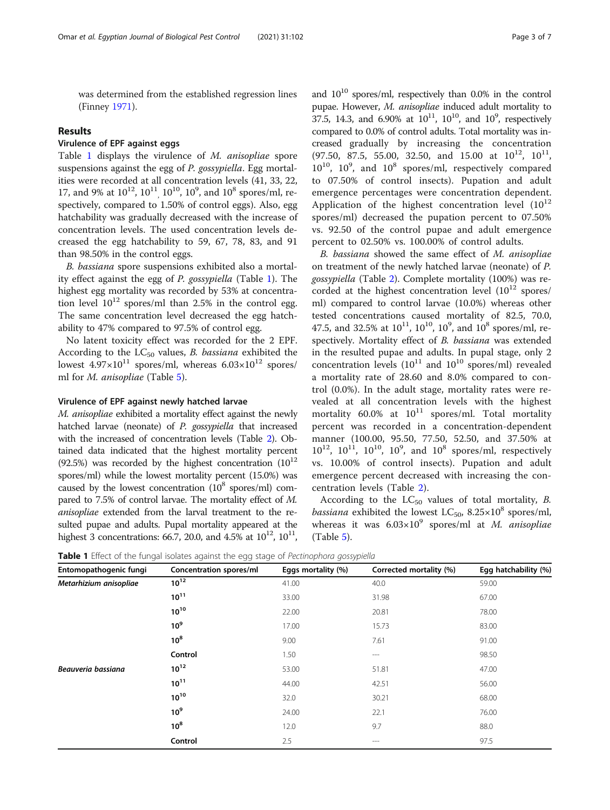was determined from the established regression lines (Finney [1971\)](#page-6-0).

## Results

# Virulence of EPF against eggs

Table 1 displays the virulence of M. anisopliae spore suspensions against the egg of P. gossypiella. Egg mortalities were recorded at all concentration levels (41, 33, 22, 17, and 9% at  $10^{12}$ ,  $10^{11}$ ,  $10^{10}$ ,  $10^9$ , and  $10^8$  spores/ml, respectively, compared to 1.50% of control eggs). Also, egg hatchability was gradually decreased with the increase of concentration levels. The used concentration levels decreased the egg hatchability to 59, 67, 78, 83, and 91 than 98.50% in the control eggs.

B. bassiana spore suspensions exhibited also a mortality effect against the egg of P. gossypiella (Table 1). The highest egg mortality was recorded by 53% at concentration level  $10^{12}$  spores/ml than 2.5% in the control egg. The same concentration level decreased the egg hatchability to 47% compared to 97.5% of control egg.

No latent toxicity effect was recorded for the 2 EPF. According to the  $LC_{50}$  values, *B. bassiana* exhibited the lowest  $4.97 \times 10^{11}$  spores/ml, whereas  $6.03 \times 10^{12}$  spores/ ml for M. anisopliae (Table [5](#page-5-0)).

#### Virulence of EPF against newly hatched larvae

M. anisopliae exhibited a mortality effect against the newly hatched larvae (neonate) of P. gossypiella that increased with the increased of concentration levels (Table [2](#page-3-0)). Obtained data indicated that the highest mortality percent (92.5%) was recorded by the highest concentration  $(10^{12}$ spores/ml) while the lowest mortality percent (15.0%) was caused by the lowest concentration  $(10^8 \text{ spores/ml})$  compared to 7.5% of control larvae. The mortality effect of M. anisopliae extended from the larval treatment to the resulted pupae and adults. Pupal mortality appeared at the highest 3 concentrations: 66.7, 20.0, and 4.5% at  $10^{12}$ ,  $10^{11}$ ,

and  $10^{10}$  spores/ml, respectively than 0.0% in the control pupae. However, M. anisopliae induced adult mortality to 37.5, 14.3, and 6.90% at  $10^{11}$ ,  $10^{10}$ , and  $10^{9}$ , respectively compared to 0.0% of control adults. Total mortality was increased gradually by increasing the concentration (97.50, 87.5, 55.00, 32.50, and 15.00 at  $10^{12}$ ,  $10^{11}$ , 10<sup>10</sup>, 10<sup>9</sup>, and 10<sup>8</sup> spores/ml, respectively compared to 07.50% of control insects). Pupation and adult emergence percentages were concentration dependent. Application of the highest concentration level  $(10^{12}$ spores/ml) decreased the pupation percent to 07.50% vs. 92.50 of the control pupae and adult emergence percent to 02.50% vs. 100.00% of control adults.

B. bassiana showed the same effect of M. anisopliae on treatment of the newly hatched larvae (neonate) of P. gossypiella (Table [2](#page-3-0)). Complete mortality (100%) was recorded at the highest concentration level  $(10^{12} \text{ spores/}$ ml) compared to control larvae (10.0%) whereas other tested concentrations caused mortality of 82.5, 70.0, 47.5, and 32.5% at  $10^{11}$ ,  $10^{10}$ ,  $10^9$ , and  $10^8$  spores/ml, respectively. Mortality effect of B. bassiana was extended in the resulted pupae and adults. In pupal stage, only 2 concentration levels  $(10^{11}$  and  $10^{10}$  spores/ml) revealed a mortality rate of 28.60 and 8.0% compared to control (0.0%). In the adult stage, mortality rates were revealed at all concentration levels with the highest mortality 60.0% at  $10^{11}$  spores/ml. Total mortality percent was recorded in a concentration-dependent manner (100.00, 95.50, 77.50, 52.50, and 37.50% at  $10^{12}$ ,  $10^{11}$ ,  $10^{10}$ ,  $10^{9}$ , and  $10^{8}$  spores/ml, respectively vs. 10.00% of control insects). Pupation and adult emergence percent decreased with increasing the concentration levels (Table [2\)](#page-3-0).

According to the  $LC_{50}$  values of total mortality, B. *bassiana* exhibited the lowest  $LC_{50}$ ,  $8.25 \times 10^8$  spores/ml, whereas it was  $6.03 \times 10^9$  spores/ml at M. anisopliae (Table [5\)](#page-5-0).

**Table 1** Effect of the fungal isolates against the egg stage of Pectinophora gossypiella

| Entomopathogenic fungi | Concentration spores/ml | Eggs mortality (%) | Corrected mortality (%) | Egg hatchability (%) |
|------------------------|-------------------------|--------------------|-------------------------|----------------------|
| Metarhizium anisopliae | $10^{12}$               | 41.00              | 40.0                    | 59.00                |
|                        | $10^{11}$               | 33.00              | 31.98                   | 67.00                |
|                        | $10^{10}$               | 22.00              | 20.81                   | 78.00                |
|                        | 10 <sup>9</sup>         | 17.00              | 15.73                   | 83.00                |
|                        | $10^8$                  | 9.00               | 7.61                    | 91.00                |
|                        | Control                 | 1.50               | $---$                   | 98.50                |
| Beauveria bassiana     | $10^{12}$               | 53.00              | 51.81                   | 47.00                |
|                        | $10^{11}$               | 44.00              | 42.51                   | 56.00                |
|                        | $10^{10}$               | 32.0               | 30.21                   | 68.00                |
|                        | 10 <sup>9</sup>         | 24.00              | 22.1                    | 76.00                |
|                        | $10^8$                  | 12.0               | 9.7                     | 88.0                 |
|                        | Control                 | 2.5                | $---$                   | 97.5                 |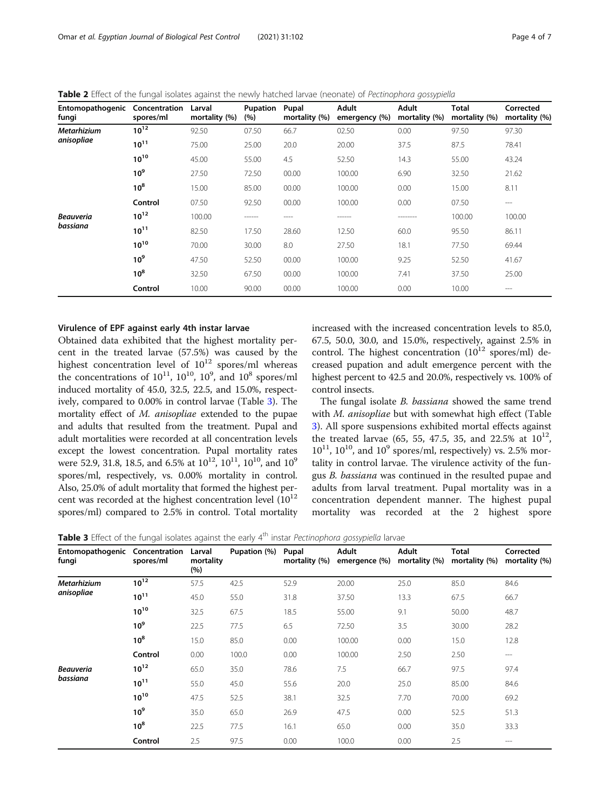<span id="page-3-0"></span>Table 2 Effect of the fungal isolates against the newly hatched larvae (neonate) of Pectinophora gossypiella

| Entomopathogenic Concentration<br>fungi | spores/ml       | Larval<br>mortality (%) | Pupation<br>(%) | Pupal<br>mortality (%) | <b>Adult</b><br>emergency (%) | <b>Adult</b><br>mortality (%) | <b>Total</b><br>mortality (%) | Corrected<br>mortality (%) |
|-----------------------------------------|-----------------|-------------------------|-----------------|------------------------|-------------------------------|-------------------------------|-------------------------------|----------------------------|
| <b>Metarhizium</b>                      | $10^{12}$       | 92.50                   | 07.50           | 66.7                   | 02.50                         | 0.00                          | 97.50                         | 97.30                      |
| anisopliae                              | $10^{11}$       | 75.00                   | 25.00           | 20.0                   | 20.00                         | 37.5                          | 87.5                          | 78.41                      |
|                                         | $10^{10}$       | 45.00                   | 55.00           | 4.5                    | 52.50                         | 14.3                          | 55.00                         | 43.24                      |
|                                         | 10 <sup>9</sup> | 27.50                   | 72.50           | 00.00                  | 100.00                        | 6.90                          | 32.50                         | 21.62                      |
|                                         | 10 <sup>8</sup> | 15.00                   | 85.00           | 00.00                  | 100.00                        | 0.00                          | 15.00                         | 8.11                       |
|                                         | Control         | 07.50                   | 92.50           | 00.00                  | 100.00                        | 0.00                          | 07.50                         | $---$                      |
| <b>Beauveria</b><br>bassiana            | $10^{12}$       | 100.00                  | -------         | ----                   | ------                        | --------                      | 100.00                        | 100.00                     |
|                                         | $10^{11}$       | 82.50                   | 17.50           | 28.60                  | 12.50                         | 60.0                          | 95.50                         | 86.11                      |
|                                         | $10^{10}$       | 70.00                   | 30.00           | 8.0                    | 27.50                         | 18.1                          | 77.50                         | 69.44                      |
|                                         | 10 <sup>9</sup> | 47.50                   | 52.50           | 00.00                  | 100.00                        | 9.25                          | 52.50                         | 41.67                      |
|                                         | 10 <sup>8</sup> | 32.50                   | 67.50           | 00.00                  | 100.00                        | 7.41                          | 37.50                         | 25.00                      |
|                                         | Control         | 10.00                   | 90.00           | 00.00                  | 100.00                        | 0.00                          | 10.00                         | $- - -$                    |

# Virulence of EPF against early 4th instar larvae

Obtained data exhibited that the highest mortality percent in the treated larvae (57.5%) was caused by the highest concentration level of  $10^{12}$  spores/ml whereas the concentrations of  $10^{11}$ ,  $10^{10}$ ,  $10^9$ , and  $10^8$  spores/ml induced mortality of 45.0, 32.5, 22.5, and 15.0%, respectively, compared to 0.00% in control larvae (Table 3). The mortality effect of M. anisopliae extended to the pupae and adults that resulted from the treatment. Pupal and adult mortalities were recorded at all concentration levels except the lowest concentration. Pupal mortality rates were 52.9, 31.8, 18.5, and 6.5% at  $10^{12}$ ,  $10^{11}$ ,  $10^{10}$ , and  $10^{9}$ spores/ml, respectively, vs. 0.00% mortality in control. Also, 25.0% of adult mortality that formed the highest percent was recorded at the highest concentration level  $(10^{12}$ spores/ml) compared to 2.5% in control. Total mortality increased with the increased concentration levels to 85.0, 67.5, 50.0, 30.0, and 15.0%, respectively, against 2.5% in control. The highest concentration  $(10^{12}$  spores/ml) decreased pupation and adult emergence percent with the highest percent to 42.5 and 20.0%, respectively vs. 100% of control insects.

The fungal isolate *B. bassiana* showed the same trend with M. anisopliae but with somewhat high effect (Table 3). All spore suspensions exhibited mortal effects against the treated larvae (65, 55, 47.5, 35, and 22.5% at  $10^{12}$ ,  $10^{11}$ ,  $10^{10}$ , and  $10^9$  spores/ml, respectively) vs. 2.5% mortality in control larvae. The virulence activity of the fungus B. bassiana was continued in the resulted pupae and adults from larval treatment. Pupal mortality was in a concentration dependent manner. The highest pupal mortality was recorded at the 2 highest spore

|  |  |  |  | Table 3 Effect of the fungal isolates against the early 4 <sup>th</sup> instar Pectinophora gossypiella larvae |  |
|--|--|--|--|----------------------------------------------------------------------------------------------------------------|--|
|  |  |  |  |                                                                                                                |  |

| Entomopathogenic Concentration<br>fungi | spores/ml       | Larval<br>mortality<br>(%) | Pupation (%) | Pupal<br>mortality (%) | <b>Adult</b><br>emergence (%) | <b>Adult</b><br>mortality (%) | <b>Total</b><br>mortality (%) | Corrected<br>mortality (%) |
|-----------------------------------------|-----------------|----------------------------|--------------|------------------------|-------------------------------|-------------------------------|-------------------------------|----------------------------|
| Metarhizium                             | $10^{12}$       | 57.5                       | 42.5         | 52.9                   | 20.00                         | 25.0                          | 85.0                          | 84.6                       |
| anisopliae                              | $10^{11}$       | 45.0                       | 55.0         | 31.8                   | 37.50                         | 13.3                          | 67.5                          | 66.7                       |
|                                         | $10^{10}$       | 32.5                       | 67.5         | 18.5                   | 55.00                         | 9.1                           | 50.00                         | 48.7                       |
|                                         | 10 <sup>9</sup> | 22.5                       | 77.5         | 6.5                    | 72.50                         | 3.5                           | 30.00                         | 28.2                       |
|                                         | 10 <sup>8</sup> | 15.0                       | 85.0         | 0.00                   | 100.00                        | 0.00                          | 15.0                          | 12.8                       |
|                                         | Control         | 0.00                       | 100.0        | 0.00                   | 100.00                        | 2.50                          | 2.50                          | $---$                      |
| <b>Beauveria</b><br>bassiana            | $10^{12}$       | 65.0                       | 35.0         | 78.6                   | 7.5                           | 66.7                          | 97.5                          | 97.4                       |
|                                         | $10^{11}$       | 55.0                       | 45.0         | 55.6                   | 20.0                          | 25.0                          | 85.00                         | 84.6                       |
|                                         | $10^{10}$       | 47.5                       | 52.5         | 38.1                   | 32.5                          | 7.70                          | 70.00                         | 69.2                       |
|                                         | 10 <sup>9</sup> | 35.0                       | 65.0         | 26.9                   | 47.5                          | 0.00                          | 52.5                          | 51.3                       |
|                                         | 10 <sup>8</sup> | 22.5                       | 77.5         | 16.1                   | 65.0                          | 0.00                          | 35.0                          | 33.3                       |
|                                         | Control         | 2.5                        | 97.5         | 0.00                   | 100.0                         | 0.00                          | 2.5                           | $---$                      |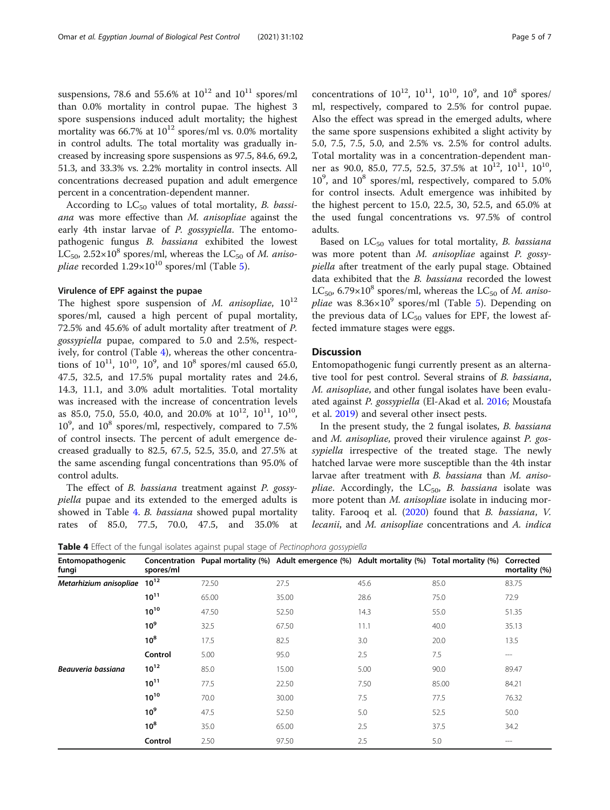suspensions, 78.6 and 55.6% at  $10^{12}$  and  $10^{11}$  spores/ml than 0.0% mortality in control pupae. The highest 3 spore suspensions induced adult mortality; the highest mortality was 66.7% at  $10^{12}$  spores/ml vs. 0.0% mortality in control adults. The total mortality was gradually increased by increasing spore suspensions as 97.5, 84.6, 69.2, 51.3, and 33.3% vs. 2.2% mortality in control insects. All concentrations decreased pupation and adult emergence percent in a concentration-dependent manner.

According to  $LC_{50}$  values of total mortality, B. bassiana was more effective than M. anisopliae against the early 4th instar larvae of P. gossypiella. The entomopathogenic fungus B. bassiana exhibited the lowest  $LC_{50}$ ,  $2.52\times10^8$  spores/ml, whereas the  $LC_{50}$  of M. anisopliae recorded  $1.29 \times 10^{10}$  spores/ml (Table [5\)](#page-5-0).

#### Virulence of EPF against the pupae

The highest spore suspension of  $M$ . anisopliae,  $10^{12}$ spores/ml, caused a high percent of pupal mortality, 72.5% and 45.6% of adult mortality after treatment of P. gossypiella pupae, compared to 5.0 and 2.5%, respectively, for control (Table 4), whereas the other concentrations of  $10^{11}$ ,  $10^{10}$ ,  $10^9$ , and  $10^8$  spores/ml caused 65.0, 47.5, 32.5, and 17.5% pupal mortality rates and 24.6, 14.3, 11.1, and 3.0% adult mortalities. Total mortality was increased with the increase of concentration levels as 85.0, 75.0, 55.0, 40.0, and 20.0% at  $10^{12}$ ,  $10^{11}$ ,  $10^{10}$ ,  $10^9$ , and  $10^8$  spores/ml, respectively, compared to  $7.5\%$ of control insects. The percent of adult emergence decreased gradually to 82.5, 67.5, 52.5, 35.0, and 27.5% at the same ascending fungal concentrations than 95.0% of control adults.

The effect of B. bassiana treatment against P. gossypiella pupae and its extended to the emerged adults is showed in Table 4. B. bassiana showed pupal mortality rates of 85.0, 77.5, 70.0, 47.5, and 35.0% at

concentrations of  $10^{12}$ ,  $10^{11}$ ,  $10^{10}$ ,  $10^{9}$ , and  $10^{8}$  spores/ ml, respectively, compared to 2.5% for control pupae. Also the effect was spread in the emerged adults, where the same spore suspensions exhibited a slight activity by 5.0, 7.5, 7.5, 5.0, and 2.5% vs. 2.5% for control adults. Total mortality was in a concentration-dependent manner as 90.0, 85.0, 77.5, 52.5, 37.5% at  $10^{12}$ ,  $10^{11}$ ,  $10^{10}$ , 10<sup>9</sup> , and 10<sup>8</sup> spores/ml, respectively, compared to 5.0% for control insects. Adult emergence was inhibited by the highest percent to 15.0, 22.5, 30, 52.5, and 65.0% at the used fungal concentrations vs. 97.5% of control adults.

Based on  $LC_{50}$  values for total mortality, B. bassiana was more potent than M. anisopliae against P. gossypiella after treatment of the early pupal stage. Obtained data exhibited that the B. bassiana recorded the lowest LC<sub>50</sub>, 6.79×10<sup>8</sup> spores/ml, whereas the LC<sub>50</sub> of *M. anisopliae* was  $8.36 \times 10^9$  spores/ml (Table [5](#page-5-0)). Depending on the previous data of  $LC_{50}$  values for EPF, the lowest affected immature stages were eggs.

# **Discussion**

Entomopathogenic fungi currently present as an alternative tool for pest control. Several strains of B. bassiana, M. anisopliae, and other fungal isolates have been evaluated against P. gossypiella (El-Akad et al. [2016](#page-6-0); Moustafa et al. [2019\)](#page-6-0) and several other insect pests.

In the present study, the 2 fungal isolates, B. bassiana and M. anisopliae, proved their virulence against P. gossypiella irrespective of the treated stage. The newly hatched larvae were more susceptible than the 4th instar larvae after treatment with B. bassiana than M. aniso*pliae.* Accordingly, the  $LC_{50}$ , B. bassiana isolate was more potent than *M. anisopliae* isolate in inducing mortality. Farooq et al.  $(2020)$  $(2020)$  found that B. bassiana, V. lecanii, and M. anisopliae concentrations and A. indica

Table 4 Effect of the fungal isolates against pupal stage of Pectinophora gossypiella

| Entomopathogenic<br>fungi | Concentration<br>spores/ml | $\tilde{\phantom{a}}$ | $\overline{\phantom{a}}$<br>Pupal mortality (%) Adult emergence (%) Adult mortality (%) Total mortality (%) |      |       | Corrected<br>mortality (%) |
|---------------------------|----------------------------|-----------------------|-------------------------------------------------------------------------------------------------------------|------|-------|----------------------------|
| Metarhizium anisopliae    | $10^{12}$                  | 72.50                 | 27.5                                                                                                        | 45.6 | 85.0  | 83.75                      |
|                           | $10^{11}$                  | 65.00                 | 35.00                                                                                                       | 28.6 | 75.0  | 72.9                       |
|                           | $10^{10}$                  | 47.50                 | 52.50                                                                                                       | 14.3 | 55.0  | 51.35                      |
|                           | 10 <sup>9</sup>            | 32.5                  | 67.50                                                                                                       | 11.1 | 40.0  | 35.13                      |
|                           | $10^8$                     | 17.5                  | 82.5                                                                                                        | 3.0  | 20.0  | 13.5                       |
|                           | Control                    | 5.00                  | 95.0                                                                                                        | 2.5  | 7.5   | $---$                      |
| Beauveria bassiana        | $10^{12}$                  | 85.0                  | 15.00                                                                                                       | 5.00 | 90.0  | 89.47                      |
|                           | $10^{11}$                  | 77.5                  | 22.50                                                                                                       | 7.50 | 85.00 | 84.21                      |
|                           | $10^{10}$                  | 70.0                  | 30.00                                                                                                       | 7.5  | 77.5  | 76.32                      |
|                           | 10 <sup>9</sup>            | 47.5                  | 52.50                                                                                                       | 5.0  | 52.5  | 50.0                       |
|                           | $10^8$                     | 35.0                  | 65.00                                                                                                       | 2.5  | 37.5  | 34.2                       |
|                           | Control                    | 2.50                  | 97.50                                                                                                       | 2.5  | 5.0   | $\qquad \qquad -$          |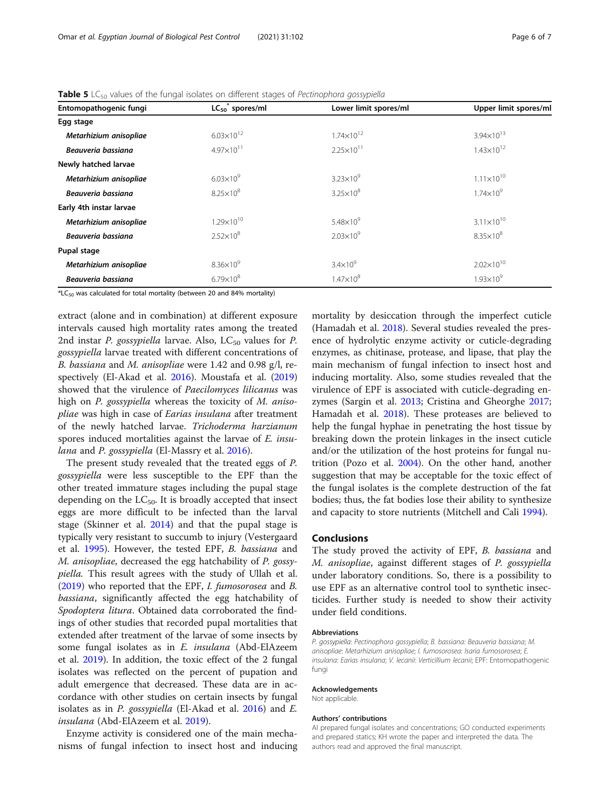| $LC_{50}$ <sup>*</sup> spores/ml | Lower limit spores/ml | Upper limit spores/ml |
|----------------------------------|-----------------------|-----------------------|
|                                  |                       |                       |
| $6.03 \times 10^{12}$            | $1.74 \times 10^{12}$ | $3.94 \times 10^{13}$ |
| $4.97 \times 10^{11}$            | $2.25 \times 10^{11}$ | $1.43 \times 10^{12}$ |
|                                  |                       |                       |
| $6.03 \times 10^{9}$             | $3.23\times10^9$      | $1.11 \times 10^{10}$ |
| $8.25 \times 10^8$               | $3.25 \times 10^8$    | $1.74 \times 10^{9}$  |
|                                  |                       |                       |
| $1.29 \times 10^{10}$            | $5.48\times10^{9}$    | $3.11 \times 10^{10}$ |
| $2.52\times10^{8}$               | $2.03\times10^{9}$    | $8.35 \times 10^8$    |
|                                  |                       |                       |
| $8.36\times10^{9}$               | $3.4\times10^9$       | $2.02\times10^{10}$   |
| $6.79 \times 10^8$               | $1.47\times10^{8}$    | $1.93\times10^{9}$    |
|                                  |                       |                       |

<span id="page-5-0"></span>Table 5 LC<sub>50</sub> values of the fungal isolates on different stages of Pectinophora gossypiella

 $E_{50}$  was calculated for total mortality (between 20 and 84% mortality)

extract (alone and in combination) at different exposure intervals caused high mortality rates among the treated 2nd instar *P. gossypiella* larvae. Also,  $LC_{50}$  values for *P.* gossypiella larvae treated with different concentrations of B. bassiana and M. anisopliae were 1.42 and 0.98 g/l, respectively (El-Akad et al. [2016\)](#page-6-0). Moustafa et al. ([2019](#page-6-0)) showed that the virulence of Paecilomyces lilicanus was high on P. gossypiella whereas the toxicity of M. anisopliae was high in case of Earias insulana after treatment of the newly hatched larvae. Trichoderma harzianum spores induced mortalities against the larvae of E. insu-lana and P. gossypiella (El-Massry et al. [2016](#page-6-0)).

The present study revealed that the treated eggs of P. gossypiella were less susceptible to the EPF than the other treated immature stages including the pupal stage depending on the  $LC_{50}$ . It is broadly accepted that insect eggs are more difficult to be infected than the larval stage (Skinner et al. [2014](#page-6-0)) and that the pupal stage is typically very resistant to succumb to injury (Vestergaard et al. [1995\)](#page-6-0). However, the tested EPF, B. bassiana and M. anisopliae, decreased the egg hatchability of P. gossypiella. This result agrees with the study of Ullah et al. ([2019](#page-6-0)) who reported that the EPF, I. fumosorosea and B. bassiana, significantly affected the egg hatchability of Spodoptera litura. Obtained data corroborated the findings of other studies that recorded pupal mortalities that extended after treatment of the larvae of some insects by some fungal isolates as in E. insulana (Abd-ElAzeem et al. [2019\)](#page-6-0). In addition, the toxic effect of the 2 fungal isolates was reflected on the percent of pupation and adult emergence that decreased. These data are in accordance with other studies on certain insects by fungal isolates as in P. gossypiella (El-Akad et al. [2016\)](#page-6-0) and E. insulana (Abd-ElAzeem et al. [2019\)](#page-6-0).

Enzyme activity is considered one of the main mechanisms of fungal infection to insect host and inducing mortality by desiccation through the imperfect cuticle (Hamadah et al. [2018](#page-6-0)). Several studies revealed the presence of hydrolytic enzyme activity or cuticle-degrading enzymes, as chitinase, protease, and lipase, that play the main mechanism of fungal infection to insect host and inducing mortality. Also, some studies revealed that the virulence of EPF is associated with cuticle-degrading enzymes (Sargin et al. [2013](#page-6-0); Cristina and Gheorghe [2017](#page-6-0); Hamadah et al. [2018](#page-6-0)). These proteases are believed to help the fungal hyphae in penetrating the host tissue by breaking down the protein linkages in the insect cuticle and/or the utilization of the host proteins for fungal nutrition (Pozo et al. [2004](#page-6-0)). On the other hand, another suggestion that may be acceptable for the toxic effect of the fungal isolates is the complete destruction of the fat bodies; thus, the fat bodies lose their ability to synthesize and capacity to store nutrients (Mitchell and Cali [1994\)](#page-6-0).

## Conclusions

The study proved the activity of EPF, B. bassiana and M. anisopliae, against different stages of P. gossypiella under laboratory conditions. So, there is a possibility to use EPF as an alternative control tool to synthetic insecticides. Further study is needed to show their activity under field conditions.

#### Abbreviations

P. gossypiella: Pectinophora gossypiella; B. bassiana: Beauveria bassiana; M. anisopliae: Metarhizium anisopliae; I. fumosorosea: Isaria fumosorosea; E. insulana: Earias insulana; V. lecanii: Verticillium lecanii; EPF: Entomopathogenic fungi

#### Acknowledgements

Not applicable.

#### Authors' contributions

AI prepared fungal isolates and concentrations; GO conducted experiments and prepared statics; KH wrote the paper and interpreted the data. The authors read and approved the final manuscript.